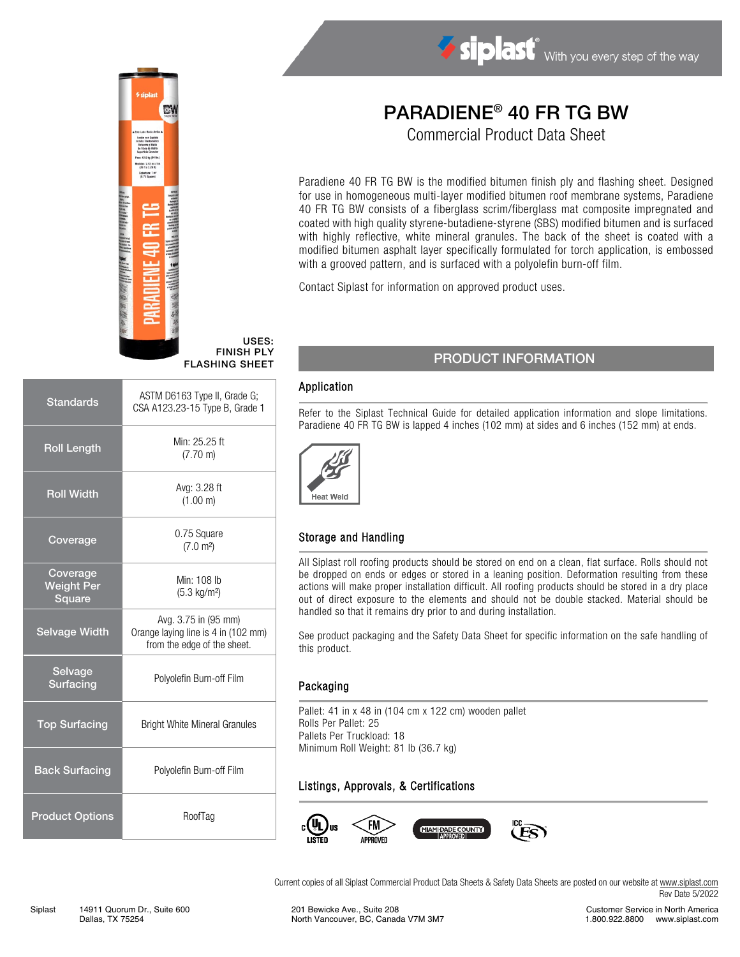

#### USES: FINISH PLY FLASHING SHEET

| <b>Standards</b>                        | ASTM D6163 Type II, Grade G;<br>CSA A123.23-15 Type B, Grade 1                             |  |  |
|-----------------------------------------|--------------------------------------------------------------------------------------------|--|--|
| <b>Roll Length</b>                      | Min: 25.25 ft<br>$(7.70 \text{ m})$                                                        |  |  |
| <b>Roll Width</b>                       | Avg: 3.28 ft<br>(1.00 m)                                                                   |  |  |
| Coverage                                | 0.75 Square<br>(7.0 m <sup>2</sup> )                                                       |  |  |
| Coverage<br><b>Weight Per</b><br>Square | Min: 108 lb<br>$(5.3 \text{ kg/m}^2)$                                                      |  |  |
| <b>Selvage Width</b>                    | Avg. 3.75 in (95 mm)<br>Orange laying line is 4 in (102 mm)<br>from the edge of the sheet. |  |  |
| Selvage<br>Surfacing                    | Polyolefin Burn-off Film                                                                   |  |  |
| <b>Top Surfacing</b>                    | <b>Bright White Mineral Granules</b>                                                       |  |  |
| <b>Back Surfacing</b>                   | Polyolefin Burn-off Film                                                                   |  |  |
| <b>Product Options</b>                  | RoofTag                                                                                    |  |  |
|                                         |                                                                                            |  |  |

# PARADIENE® 40 FR TG BW

Siplast With you every step of the way

Commercial Product Data Sheet

Paradiene 40 FR TG BW is the modified bitumen finish ply and flashing sheet. Designed for use in homogeneous multi-layer modified bitumen roof membrane systems, Paradiene 40 FR TG BW consists of a fiberglass scrim/fiberglass mat composite impregnated and coated with high quality styrene-butadiene-styrene (SBS) modified bitumen and is surfaced with highly reflective, white mineral granules. The back of the sheet is coated with a modified bitumen asphalt layer specifically formulated for torch application, is embossed with a grooved pattern, and is surfaced with a polyolefin burn-off film.

Contact Siplast for information on approved product uses.

#### PRODUCT INFORMATION

#### Application

Refer to the Siplast Technical Guide for detailed application information and slope limitations. Paradiene 40 FR TG BW is lapped 4 inches (102 mm) at sides and 6 inches (152 mm) at ends.



## Storage and Handling

All Siplast roll roofing products should be stored on end on a clean, flat surface. Rolls should not be dropped on ends or edges or stored in a leaning position. Deformation resulting from these actions will make proper installation difficult. All roofing products should be stored in a dry place out of direct exposure to the elements and should not be double stacked. Material should be handled so that it remains dry prior to and during installation.

See product packaging and the Safety Data Sheet for specific information on the safe handling of this product.

#### **Packaging**

Pallet: 41 in x 48 in (104 cm x 122 cm) wooden pallet Rolls Per Pallet: 25 Pallets Per Truckload: 18 Minimum Roll Weight: 81 lb (36.7 kg)

## Listings, Approvals, & Certifications



Current copies of all Siplast Commercial Product Data Sheets & Safety Data Sheets are posted on our website a[t www.siplast.com](http://www.siplast.com/) Rev Date 5/2022